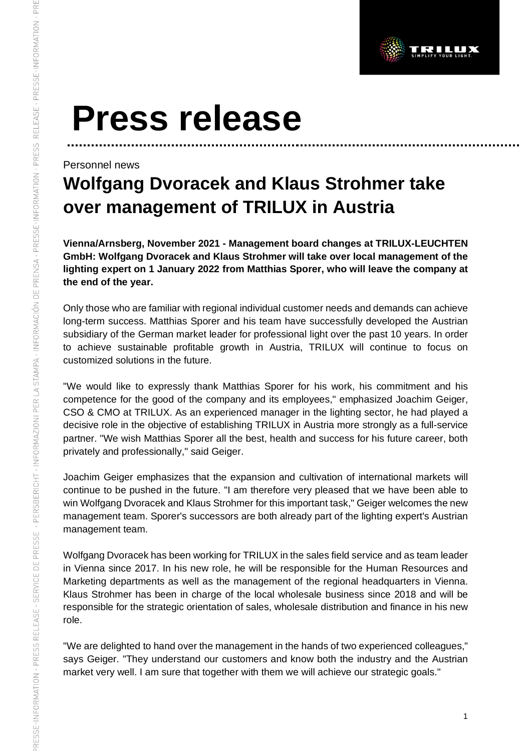

# **Press release**

### Personnel news

# **Wolfgang Dvoracek and Klaus Strohmer take over management of TRILUX in Austria**

**Vienna/Arnsberg, November 2021 - Management board changes at TRILUX-LEUCHTEN GmbH: Wolfgang Dvoracek and Klaus Strohmer will take over local management of the lighting expert on 1 January 2022 from Matthias Sporer, who will leave the company at the end of the year.**

Only those who are familiar with regional individual customer needs and demands can achieve long-term success. Matthias Sporer and his team have successfully developed the Austrian subsidiary of the German market leader for professional light over the past 10 years. In order to achieve sustainable profitable growth in Austria, TRILUX will continue to focus on customized solutions in the future.

"We would like to expressly thank Matthias Sporer for his work, his commitment and his competence for the good of the company and its employees," emphasized Joachim Geiger, CSO & CMO at TRILUX. As an experienced manager in the lighting sector, he had played a decisive role in the objective of establishing TRILUX in Austria more strongly as a full-service partner. "We wish Matthias Sporer all the best, health and success for his future career, both privately and professionally," said Geiger.

Joachim Geiger emphasizes that the expansion and cultivation of international markets will continue to be pushed in the future. "I am therefore very pleased that we have been able to win Wolfgang Dvoracek and Klaus Strohmer for this important task," Geiger welcomes the new management team. Sporer's successors are both already part of the lighting expert's Austrian management team.

Wolfgang Dvoracek has been working for TRILUX in the sales field service and as team leader in Vienna since 2017. In his new role, he will be responsible for the Human Resources and Marketing departments as well as the management of the regional headquarters in Vienna. Klaus Strohmer has been in charge of the local wholesale business since 2018 and will be responsible for the strategic orientation of sales, wholesale distribution and finance in his new role.

"We are delighted to hand over the management in the hands of two experienced colleagues," says Geiger. "They understand our customers and know both the industry and the Austrian market very well. I am sure that together with them we will achieve our strategic goals."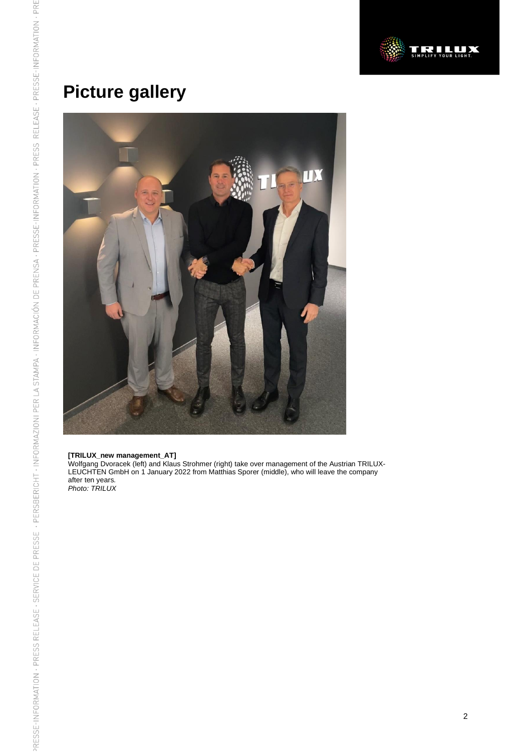

## **Picture gallery**



#### **[TRILUX\_new management\_AT]**

Wolfgang Dvoracek (left) and Klaus Strohmer (right) take over management of the Austrian TRILUX-LEUCHTEN GmbH on 1 January 2022 from Matthias Sporer (middle), who will leave the company after ten years. *Photo: TRILUX*